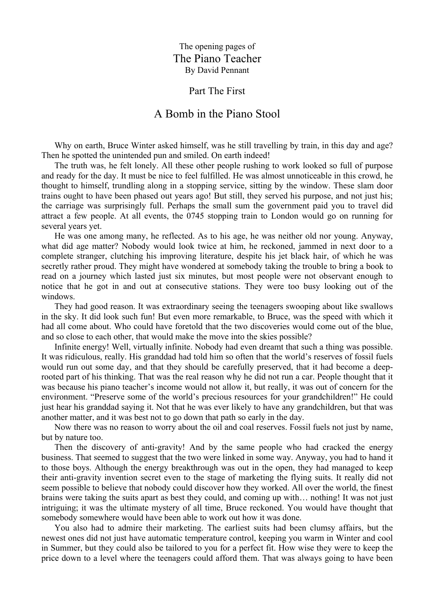## The opening pages of The Piano Teacher By David Pennant

## Part The First

## A Bomb in the Piano Stool

Why on earth, Bruce Winter asked himself, was he still travelling by train, in this day and age? Then he spotted the unintended pun and smiled. On earth indeed!

The truth was, he felt lonely. All these other people rushing to work looked so full of purpose and ready for the day. It must be nice to feel fulfilled. He was almost unnoticeable in this crowd, he thought to himself, trundling along in a stopping service, sitting by the window. These slam door trains ought to have been phased out years ago! But still, they served his purpose, and not just his; the carriage was surprisingly full. Perhaps the small sum the government paid you to travel did attract a few people. At all events, the 0745 stopping train to London would go on running for several years yet.

He was one among many, he reflected. As to his age, he was neither old nor young. Anyway, what did age matter? Nobody would look twice at him, he reckoned, jammed in next door to a complete stranger, clutching his improving literature, despite his jet black hair, of which he was secretly rather proud. They might have wondered at somebody taking the trouble to bring a book to read on a journey which lasted just six minutes, but most people were not observant enough to notice that he got in and out at consecutive stations. They were too busy looking out of the windows.

They had good reason. It was extraordinary seeing the teenagers swooping about like swallows in the sky. It did look such fun! But even more remarkable, to Bruce, was the speed with which it had all come about. Who could have foretold that the two discoveries would come out of the blue, and so close to each other, that would make the move into the skies possible?

Infinite energy! Well, virtually infinite. Nobody had even dreamt that such a thing was possible. It was ridiculous, really. His granddad had told him so often that the world's reserves of fossil fuels would run out some day, and that they should be carefully preserved, that it had become a deeprooted part of his thinking. That was the real reason why he did not run a car. People thought that it was because his piano teacher's income would not allow it, but really, it was out of concern for the environment. "Preserve some of the world's precious resources for your grandchildren!" He could just hear his granddad saying it. Not that he was ever likely to have any grandchildren, but that was another matter, and it was best not to go down that path so early in the day.

Now there was no reason to worry about the oil and coal reserves. Fossil fuels not just by name, but by nature too.

Then the discovery of anti-gravity! And by the same people who had cracked the energy business. That seemed to suggest that the two were linked in some way. Anyway, you had to hand it to those boys. Although the energy breakthrough was out in the open, they had managed to keep their anti-gravity invention secret even to the stage of marketing the flying suits. It really did not seem possible to believe that nobody could discover how they worked. All over the world, the finest brains were taking the suits apart as best they could, and coming up with… nothing! It was not just intriguing; it was the ultimate mystery of all time, Bruce reckoned. You would have thought that somebody somewhere would have been able to work out how it was done.

You also had to admire their marketing. The earliest suits had been clumsy affairs, but the newest ones did not just have automatic temperature control, keeping you warm in Winter and cool in Summer, but they could also be tailored to you for a perfect fit. How wise they were to keep the price down to a level where the teenagers could afford them. That was always going to have been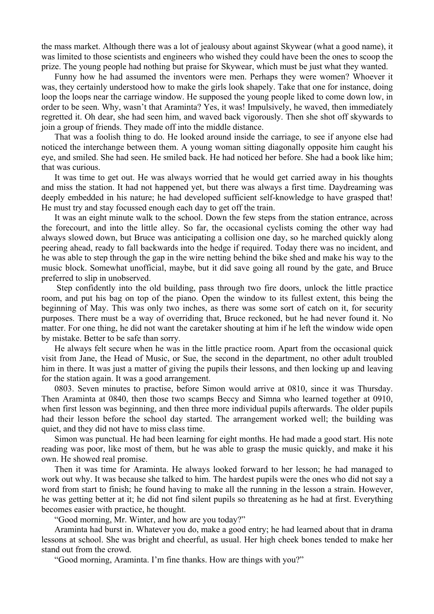the mass market. Although there was a lot of jealousy about against Skywear (what a good name), it was limited to those scientists and engineers who wished they could have been the ones to scoop the prize. The young people had nothing but praise for Skywear, which must be just what they wanted.

Funny how he had assumed the inventors were men. Perhaps they were women? Whoever it was, they certainly understood how to make the girls look shapely. Take that one for instance, doing loop the loops near the carriage window. He supposed the young people liked to come down low, in order to be seen. Why, wasn't that Araminta? Yes, it was! Impulsively, he waved, then immediately regretted it. Oh dear, she had seen him, and waved back vigorously. Then she shot off skywards to join a group of friends. They made off into the middle distance.

That was a foolish thing to do. He looked around inside the carriage, to see if anyone else had noticed the interchange between them. A young woman sitting diagonally opposite him caught his eye, and smiled. She had seen. He smiled back. He had noticed her before. She had a book like him; that was curious.

It was time to get out. He was always worried that he would get carried away in his thoughts and miss the station. It had not happened yet, but there was always a first time. Daydreaming was deeply embedded in his nature; he had developed sufficient self-knowledge to have grasped that! He must try and stay focussed enough each day to get off the train.

It was an eight minute walk to the school. Down the few steps from the station entrance, across the forecourt, and into the little alley. So far, the occasional cyclists coming the other way had always slowed down, but Bruce was anticipating a collision one day, so he marched quickly along peering ahead, ready to fall backwards into the hedge if required. Today there was no incident, and he was able to step through the gap in the wire netting behind the bike shed and make his way to the music block. Somewhat unofficial, maybe, but it did save going all round by the gate, and Bruce preferred to slip in unobserved.

 Step confidently into the old building, pass through two fire doors, unlock the little practice room, and put his bag on top of the piano. Open the window to its fullest extent, this being the beginning of May. This was only two inches, as there was some sort of catch on it, for security purposes. There must be a way of overriding that, Bruce reckoned, but he had never found it. No matter. For one thing, he did not want the caretaker shouting at him if he left the window wide open by mistake. Better to be safe than sorry.

He always felt secure when he was in the little practice room. Apart from the occasional quick visit from Jane, the Head of Music, or Sue, the second in the department, no other adult troubled him in there. It was just a matter of giving the pupils their lessons, and then locking up and leaving for the station again. It was a good arrangement.

0803. Seven minutes to practise, before Simon would arrive at 0810, since it was Thursday. Then Araminta at 0840, then those two scamps Beccy and Simna who learned together at 0910, when first lesson was beginning, and then three more individual pupils afterwards. The older pupils had their lesson before the school day started. The arrangement worked well; the building was quiet, and they did not have to miss class time.

Simon was punctual. He had been learning for eight months. He had made a good start. His note reading was poor, like most of them, but he was able to grasp the music quickly, and make it his own. He showed real promise.

Then it was time for Araminta. He always looked forward to her lesson; he had managed to work out why. It was because she talked to him. The hardest pupils were the ones who did not say a word from start to finish; he found having to make all the running in the lesson a strain. However, he was getting better at it; he did not find silent pupils so threatening as he had at first. Everything becomes easier with practice, he thought.

"Good morning, Mr. Winter, and how are you today?"

Araminta had burst in. Whatever you do, make a good entry; he had learned about that in drama lessons at school. She was bright and cheerful, as usual. Her high cheek bones tended to make her stand out from the crowd.

"Good morning, Araminta. I'm fine thanks. How are things with you?"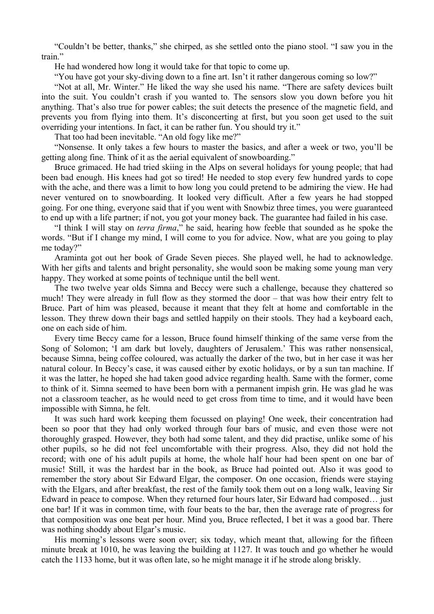"Couldn't be better, thanks," she chirped, as she settled onto the piano stool. "I saw you in the train."

He had wondered how long it would take for that topic to come up.

"You have got your sky-diving down to a fine art. Isn't it rather dangerous coming so low?"

"Not at all, Mr. Winter." He liked the way she used his name. "There are safety devices built into the suit. You couldn't crash if you wanted to. The sensors slow you down before you hit anything. That's also true for power cables; the suit detects the presence of the magnetic field, and prevents you from flying into them. It's disconcerting at first, but you soon get used to the suit overriding your intentions. In fact, it can be rather fun. You should try it."

That too had been inevitable. "An old fogy like me?"

"Nonsense. It only takes a few hours to master the basics, and after a week or two, you'll be getting along fine. Think of it as the aerial equivalent of snowboarding."

Bruce grimaced. He had tried skiing in the Alps on several holidays for young people; that had been bad enough. His knees had got so tired! He needed to stop every few hundred yards to cope with the ache, and there was a limit to how long you could pretend to be admiring the view. He had never ventured on to snowboarding. It looked very difficult. After a few years he had stopped going. For one thing, everyone said that if you went with Snowbiz three times, you were guaranteed to end up with a life partner; if not, you got your money back. The guarantee had failed in his case.

"I think I will stay on *terra firma*," he said, hearing how feeble that sounded as he spoke the words. "But if I change my mind, I will come to you for advice. Now, what are you going to play me today?"

Araminta got out her book of Grade Seven pieces. She played well, he had to acknowledge. With her gifts and talents and bright personality, she would soon be making some young man very happy. They worked at some points of technique until the bell went.

The two twelve year olds Simna and Beccy were such a challenge, because they chattered so much! They were already in full flow as they stormed the door – that was how their entry felt to Bruce. Part of him was pleased, because it meant that they felt at home and comfortable in the lesson. They threw down their bags and settled happily on their stools. They had a keyboard each, one on each side of him.

Every time Beccy came for a lesson, Bruce found himself thinking of the same verse from the Song of Solomon; 'I am dark but lovely, daughters of Jerusalem.' This was rather nonsensical, because Simna, being coffee coloured, was actually the darker of the two, but in her case it was her natural colour. In Beccy's case, it was caused either by exotic holidays, or by a sun tan machine. If it was the latter, he hoped she had taken good advice regarding health. Same with the former, come to think of it. Simna seemed to have been born with a permanent impish grin. He was glad he was not a classroom teacher, as he would need to get cross from time to time, and it would have been impossible with Simna, he felt.

It was such hard work keeping them focussed on playing! One week, their concentration had been so poor that they had only worked through four bars of music, and even those were not thoroughly grasped. However, they both had some talent, and they did practise, unlike some of his other pupils, so he did not feel uncomfortable with their progress. Also, they did not hold the record; with one of his adult pupils at home, the whole half hour had been spent on one bar of music! Still, it was the hardest bar in the book, as Bruce had pointed out. Also it was good to remember the story about Sir Edward Elgar, the composer. On one occasion, friends were staying with the Elgars, and after breakfast, the rest of the family took them out on a long walk, leaving Sir Edward in peace to compose. When they returned four hours later, Sir Edward had composed… just one bar! If it was in common time, with four beats to the bar, then the average rate of progress for that composition was one beat per hour. Mind you, Bruce reflected, I bet it was a good bar. There was nothing shoddy about Elgar's music.

His morning's lessons were soon over; six today, which meant that, allowing for the fifteen minute break at 1010, he was leaving the building at 1127. It was touch and go whether he would catch the 1133 home, but it was often late, so he might manage it if he strode along briskly.